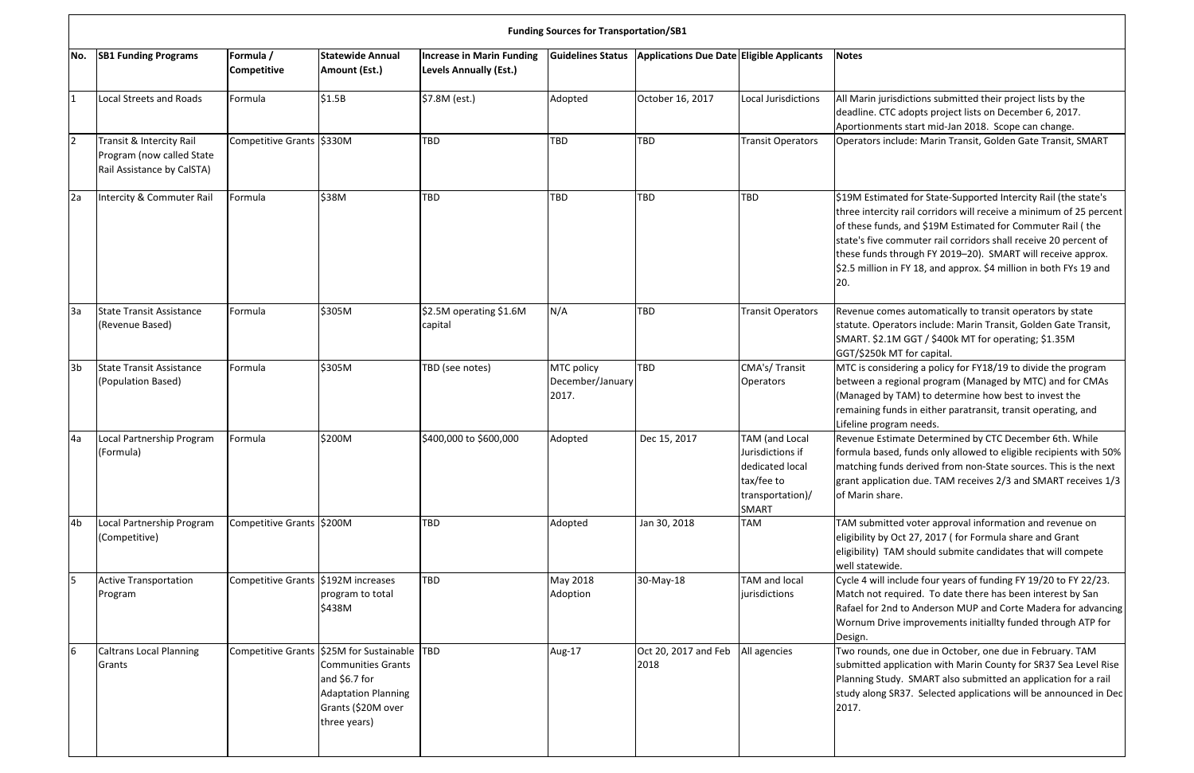|                | <b>Funding Sources for Transportation/SB1</b>                                       |                                       |                                                                                                                                                           |                                                                   |                                         |                                           |                                                                                                         |                                                                                              |
|----------------|-------------------------------------------------------------------------------------|---------------------------------------|-----------------------------------------------------------------------------------------------------------------------------------------------------------|-------------------------------------------------------------------|-----------------------------------------|-------------------------------------------|---------------------------------------------------------------------------------------------------------|----------------------------------------------------------------------------------------------|
| No.            | <b>SB1 Funding Programs</b>                                                         | Formula /<br><b>Competitive</b>       | <b>Statewide Annual</b><br>Amount (Est.)                                                                                                                  | <b>Increase in Marin Funding</b><br><b>Levels Annually (Est.)</b> | <b>Guidelines Status</b>                | Applications Due Date Eligible Applicants |                                                                                                         | <b>Notes</b>                                                                                 |
| $\mathbf{1}$   | Local Streets and Roads                                                             | Formula                               | \$1.5B                                                                                                                                                    | \$7.8M (est.)                                                     | Adopted                                 | October 16, 2017                          | Local Jurisdictions                                                                                     | All Marin j<br>deadline.<br>Aportionn                                                        |
| 2              | Transit & Intercity Rail<br>Program (now called State<br>Rail Assistance by CalSTA) | Competitive Grants S330M              |                                                                                                                                                           | TBD                                                               | <b>TBD</b>                              | TBD                                       | <b>Transit Operators</b>                                                                                | Operators                                                                                    |
| 2a             | Intercity & Commuter Rail                                                           | Formula                               | \$38M                                                                                                                                                     | TBD                                                               | <b>TBD</b>                              | TBD                                       | <b>TBD</b>                                                                                              | \$19M Esti<br>three inte<br>of these fu<br>state's five<br>these fund<br>\$2.5 millio<br>20. |
| 3a             | <b>State Transit Assistance</b><br>(Revenue Based)                                  | Formula                               | \$305M                                                                                                                                                    | \$2.5M operating \$1.6M<br>capital                                | N/A                                     | TBD                                       | <b>Transit Operators</b>                                                                                | Revenue c<br>statute. O<br>SMART. \$2<br>GGT/\$250                                           |
| 3 <sub>b</sub> | <b>State Transit Assistance</b><br>(Population Based)                               | Formula                               | \$305M                                                                                                                                                    | TBD (see notes)                                                   | MTC policy<br>December/January<br>2017. | TBD                                       | CMA's/Transit<br><b>Operators</b>                                                                       | MTC is cor<br>between a<br>(Managed<br>remaining<br>Lifeline pr                              |
| 4a             | Local Partnership Program<br>(Formula)                                              | Formula                               | \$200M                                                                                                                                                    | \$400,000 to \$600,000                                            | Adopted                                 | Dec 15, 2017                              | TAM (and Local<br>Jurisdictions if<br>dedicated local<br>tax/fee to<br>transportation)/<br><b>SMART</b> | <b>Revenue E</b><br>formula b<br>matching<br>grant appl<br>of Marin s                        |
| 4b             | Local Partnership Program<br>(Competitive)                                          | Competitive Grants S200M              |                                                                                                                                                           | TBD                                                               | Adopted                                 | Jan 30, 2018                              | <b>TAM</b>                                                                                              | TAM subn<br>eligibility l<br>eligibility)<br>well state                                      |
| 5              | <b>Active Transportation</b><br>Program                                             | Competitive Grants   \$192M increases | program to total<br>\$438M                                                                                                                                | TBD                                                               | May 2018<br>Adoption                    | 30-May-18                                 | <b>TAM and local</b><br>jurisdictions                                                                   | Cycle 4 wi<br>Match not<br><b>Rafael for</b><br>Wornum I<br>Design.                          |
| 6              | <b>Caltrans Local Planning</b><br>Grants                                            |                                       | Competitive Grants S25M for Sustainable<br><b>Communities Grants</b><br>and \$6.7 for<br><b>Adaptation Planning</b><br>Grants (\$20M over<br>three years) | <b>TBD</b>                                                        | Aug-17                                  | Oct 20, 2017 and Feb<br>2018              | All agencies                                                                                            | Two roun<br>submitted<br><b>Planning S</b><br>study alor<br>2017.                            |

jurisdictions submitted their project lists by the CTC adopts project lists on December 6, 2017. nents start mid-Jan 2018. Scope can change. include: Marin Transit, Golden Gate Transit, SMART

imated for State-Supported Intercity Rail (the state's rcity rail corridors will receive a minimum of 25 percent unds, and \$19M Estimated for Commuter Rail ( the e commuter rail corridors shall receive 20 percent of ds through FY 2019–20). SMART will receive approx. on in FY 18, and approx. \$4 million in both FYs 19 and

comes automatically to transit operators by state perators include: Marin Transit, Golden Gate Transit,  $2.1M$  GGT / \$400k MT for operating; \$1.35M Ik MT for capital.

nsidering a policy for FY18/19 to divide the program a regional program (Managed by MTC) and for CMAs by TAM) to determine how best to invest the g funds in either paratransit, transit operating, and ogram needs.

Estimate Determined by CTC December 6th. While ased, funds only allowed to eligible recipients with 50% funds derived from non-State sources. This is the next lication due. TAM receives 2/3 and SMART receives 1/3 share.

mitted voter approval information and revenue on by Oct 27, 2017 ( for Formula share and Grant TAM should submite candidates that will compete wide.

ill include four years of funding FY 19/20 to FY 22/23. t required. To date there has been interest by San 2nd to Anderson MUP and Corte Madera for advancing Drive improvements initiallty funded through ATP for

ds, one due in October, one due in February. TAM application with Marin County for SR37 Sea Level Rise Study. SMART also submitted an application for a rail ng SR37. Selected applications will be announced in Dec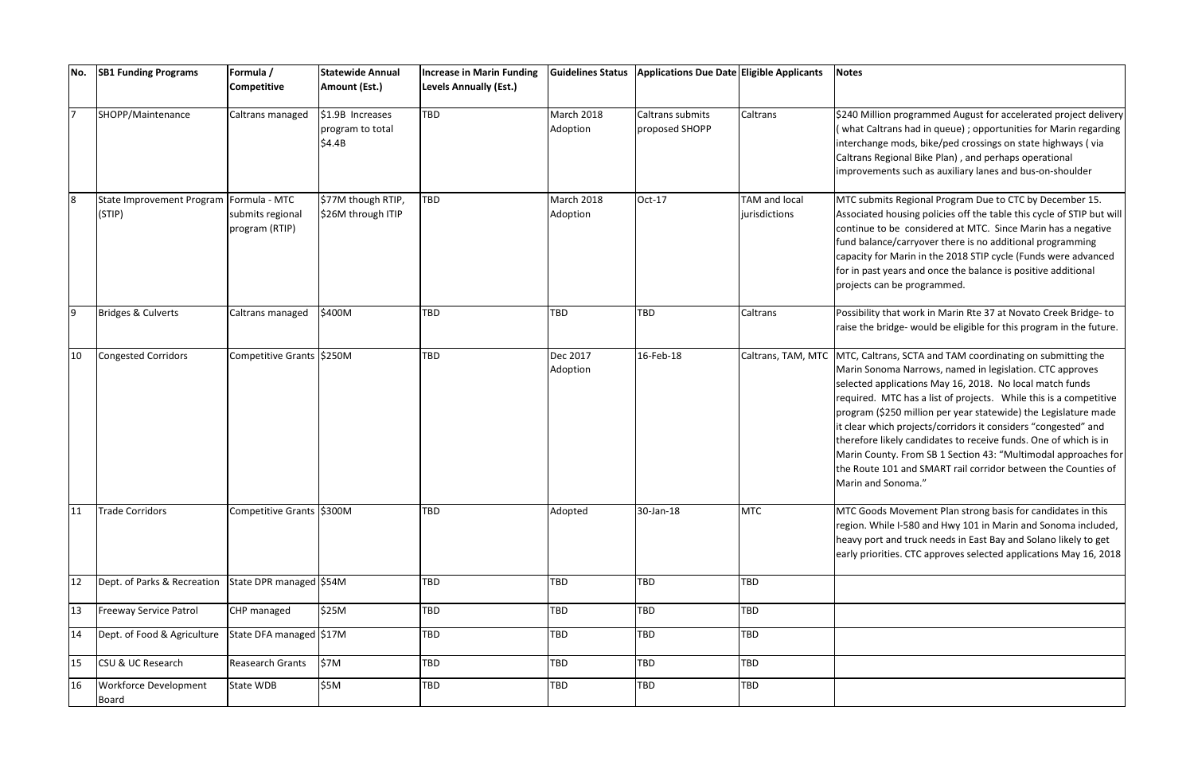| No.              | <b>SB1 Funding Programs</b>                         | Formula /<br>Competitive           | <b>Statewide Annual</b><br>Amount (Est.)       | <b>Increase in Marin Funding</b><br><b>Levels Annually (Est.)</b> | <b>Guidelines Status</b> | Applications Due Date Eligible Applicants |                                | <b>Notes</b>                                                                                                |
|------------------|-----------------------------------------------------|------------------------------------|------------------------------------------------|-------------------------------------------------------------------|--------------------------|-------------------------------------------|--------------------------------|-------------------------------------------------------------------------------------------------------------|
| $\overline{7}$   | SHOPP/Maintenance                                   | Caltrans managed                   | \$1.9B Increases<br>program to total<br>\$4.4B | TBD                                                               | March 2018<br>Adoption   | Caltrans submits<br>proposed SHOPP        | Caltrans                       | \$240 Mil<br>(what Ca<br>interchar<br>Caltrans I<br>improver                                                |
| $\boldsymbol{8}$ | State Improvement Program   Formula - MTC<br>(STIP) | submits regional<br>program (RTIP) | \$77M though RTIP,<br>\$26M through ITIP       | TBD                                                               | March 2018<br>Adoption   | Oct-17                                    | TAM and local<br>jurisdictions | MTC sub<br>Associate<br>continue<br>fund bala<br>capacity <sup>-</sup><br>for in pas<br>projects            |
| 9                | <b>Bridges &amp; Culverts</b>                       | Caltrans managed                   | \$400M                                         | TBD                                                               | <b>TBD</b>               | TBD                                       | Caltrans                       | Possibilit<br>raise the                                                                                     |
| 10               | <b>Congested Corridors</b>                          | Competitive Grants S250M           |                                                | TBD                                                               | Dec 2017<br>Adoption     | 16-Feb-18                                 | Caltrans, TAM, MTC   MTC, Cal  | Marin So<br>selected<br>required.<br>program<br>it clear w<br>therefore<br>Marin Co<br>the Rout<br>Marin an |
| 11               | <b>Trade Corridors</b>                              | Competitive Grants \$300M          |                                                | TBD                                                               | Adopted                  | 30-Jan-18                                 | <b>MTC</b>                     | MTC Goc<br>region. W<br>heavy po<br>early pric                                                              |
| 12               | Dept. of Parks & Recreation                         | State DPR managed S54M             |                                                | TBD                                                               | TBD                      | TBD                                       | TBD                            |                                                                                                             |
| 13               | <b>Freeway Service Patrol</b>                       | CHP managed                        | \$25M                                          | TBD                                                               | <b>TBD</b>               | TBD                                       | TBD                            |                                                                                                             |
| 14               | Dept. of Food & Agriculture                         | State DFA managed S17M             |                                                | TBD                                                               | <b>TBD</b>               | TBD                                       | TBD                            |                                                                                                             |
| 15               | CSU & UC Research                                   | Reasearch Grants                   | \$7M                                           | TBD                                                               | <b>TBD</b>               | TBD                                       | TBD                            |                                                                                                             |
| 16               | Workforce Development<br>Board                      | State WDB                          | \$5M                                           | TBD                                                               | <b>TBD</b>               | TBD                                       | TBD                            |                                                                                                             |

lion programmed August for accelerated project delivery altrans had in queue) ; opportunities for Marin regarding nge mods, bike/ped crossings on state highways ( via Regional Bike Plan), and perhaps operational ments such as auxiliary lanes and bus-on-shoulder

mits Regional Program Due to CTC by December 15. ed housing policies off the table this cycle of STIP but will to be considered at MTC. Since Marin has a negative ance/carryover there is no additional programming for Marin in the 2018 STIP cycle (Funds were advanced st years and once the balance is positive additional can be programmed.

y that work in Marin Rte 37 at Novato Creek Bridge- to bridge- would be eligible for this program in the future.

Itrans, SCTA and TAM coordinating on submitting the moma Narrows, named in legislation. CTC approves applications May 16, 2018. No local match funds MTC has a list of projects. While this is a competitive (\$250 million per year statewide) the Legislature made hich projects/corridors it considers "congested" and e likely candidates to receive funds. One of which is in ounty. From SB 1 Section 43: "Multimodal approaches for e 101 and SMART rail corridor between the Counties of d Sonoma."

ods Movement Plan strong basis for candidates in this Vhile I-580 and Hwy 101 in Marin and Sonoma included, ort and truck needs in East Bay and Solano likely to get prities. CTC approves selected applications May 16, 2018